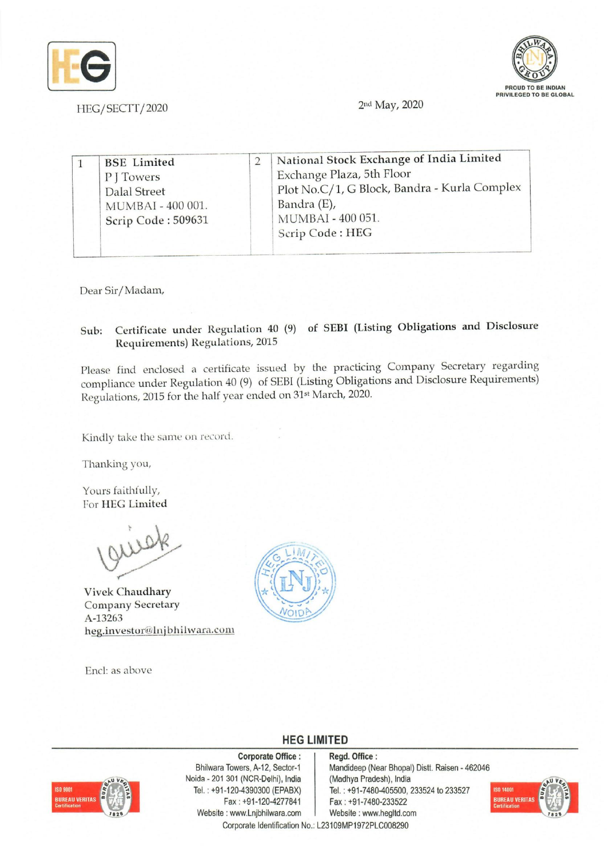



| Scrip Code: HEG |  | <b>BSE</b> Limited<br>PITowers<br><b>Dalal Street</b><br>MUMBAI - 400 001.<br>Scrip Code: 509631 |  | National Stock Exchange of India Limited<br>Exchange Plaza, 5th Floor<br>Plot No.C/1, G Block, Bandra - Kurla Complex<br>Bandra (E),<br>MUMBAI - 400 051. |
|-----------------|--|--------------------------------------------------------------------------------------------------|--|-----------------------------------------------------------------------------------------------------------------------------------------------------------|
|-----------------|--|--------------------------------------------------------------------------------------------------|--|-----------------------------------------------------------------------------------------------------------------------------------------------------------|

Dear Sir/ Madam,

# Sub: Certificate under Regulation 40 (9) of SEB! (Listing Obligations and Disclosure Requirements) Regulations, 2015

Please find enclosed a certificate issued by the practicing Company Secretary regarding compliance under Regulation 40 (9) of SEBI (Listing Obligations and Disclosure Requirements) Regulations, 2015 for the half year ended on 31st March, 2020.

Kindly take the same on record.

Thanking you,

Yours faithfully, For HEG Limited

Vivek Chaudhary Company Secretary A-13263 heg.investor@lnjbhilwara.com

Encl: as above



## **HEG LIMITED**

### Corporate Office: | Regd. Office:



Noida - 201 301 (NCR-Delhi), India (Madhya Pradesh), India Fax: +91-120-4277841 Fax: +91-7480-233522 Website: www.Lnjbhilwara.com | Website: www.hegltd.com

Bhilwara Towers, A-12, Sector-1 Mandideep (Near Bhopal) Distt. Raisen - 462046 Tel. : +91-120-4390300 (EPABX) Tel. : +91-7480-405500, 233524 to 233527



Corporate Identification No.: L23109MP1972PLC008290